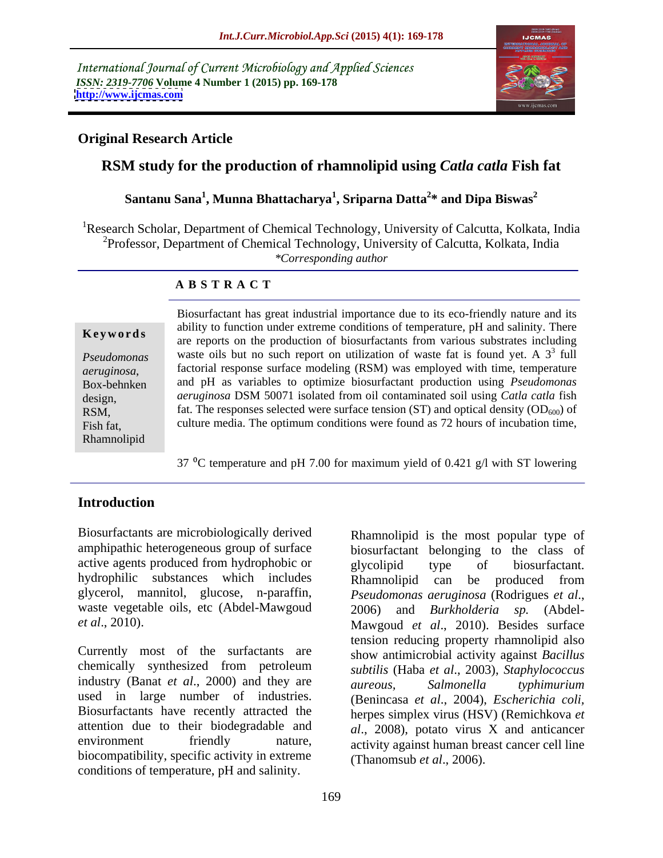International Journal of Current Microbiology and Applied Sciences *ISSN: 2319-7706* **Volume 4 Number 1 (2015) pp. 169-178 <http://www.ijcmas.com>**



### **Original Research Article**

## **RSM study for the production of rhamnolipid using** *Catla catla* **Fish fat**

#### **Santanu Sana<sup>1</sup> , Munna Bhattacharya<sup>1</sup> , Sriparna Datta<sup>2</sup> \* and Dipa Biswas<sup>2</sup>**

<sup>1</sup>Research Scholar, Department of Chemical Technology, University of Calcutta, Kolkata, India <sup>2</sup>Professor, Department of Chemical Technology, University of Calcutta, Kolkata, India *\*Corresponding author*

#### **A B S T R A C T**

Rhamnolipid

Biosurfactant has great industrial importance due to its eco-friendly nature and its ability to function under extreme conditions of temperature, pH and salinity. There **Keywords** about the production of biosurfactants from various substrates including are reports on the production of biosurfactants from various substrates including waste oils but no such report on utilization of waste fat is found yet. A 3 *Pseudomonas*   $3 \div 11$ full factorial response surface modeling (RSM) was employed with time, temperature aeruginosa, and pH as variables to optimize biosurfactant production using *Pseudomonas* and pH as variables to optimize biosurfactant production using *Pseudomonas aeruginosa* DSM 50071 isolated from oil contaminated soil using *Catla catla* fish design, RSM, fat. The responses selected were surface tension (ST) and optical density  $(OD_{600})$  of Fish fat, evidence in the optimum conditions were found as 72 hours of incubation time,

37  $^{\circ}$ C temperature and pH 7.00 for maximum yield of 0.421 g/l with ST lowering

### **Introduction**

Biosurfactants are microbiologically derived Rhamnolipid is the most popular type of amphipathic heterogeneous group of surface active agents produced from hydrophobic or elycolipid type of biosurfactant. hydrophilic substances which includes **Rhampolipid** can be produced from glycerol, mannitol, glucose, n-paraffin, *Pseudomonas aeruginosa* (Rodrigues et al., waste vegetable oils, etc (Abdel-Mawgoud 2006) and Burkholderia sp. (Abdel-

Currently most of the surfactants are chemically synthesized from petroleum industry (Banat *et al.*, 2000) and they are aureous, Salmonella typhimurium used in large number of industries. Biosurfactants have recently attracted the attention due to their biodegradable and environment friendly nature, activity against human breast cancer cell line biocompatibility, specific activity in extreme conditions of temperature, pH and salinity.

*et al*., 2010). Mawgoud *et al*., 2010). Besides surface biosurfactant belonging to the class of glycolipid type of biosurfactant. Rhamnolipid can be produced from *Pseudomonas aeruginosa* (Rodrigues *et al*., 2006) and *Burkholderia sp.* (Abdel tension reducing property rhamnolipid also show antimicrobial activity against *Bacillus subtilis* (Haba *et al*., 2003), *Staphylococcus aureous, Salmonella typhimurium* (Benincasa *et al*., 2004), *Escherichia coli,* herpes simplex virus (HSV) (Remichkova *et al*., 2008), potato virus X and anticancer (Thanomsub *et al*., 2006).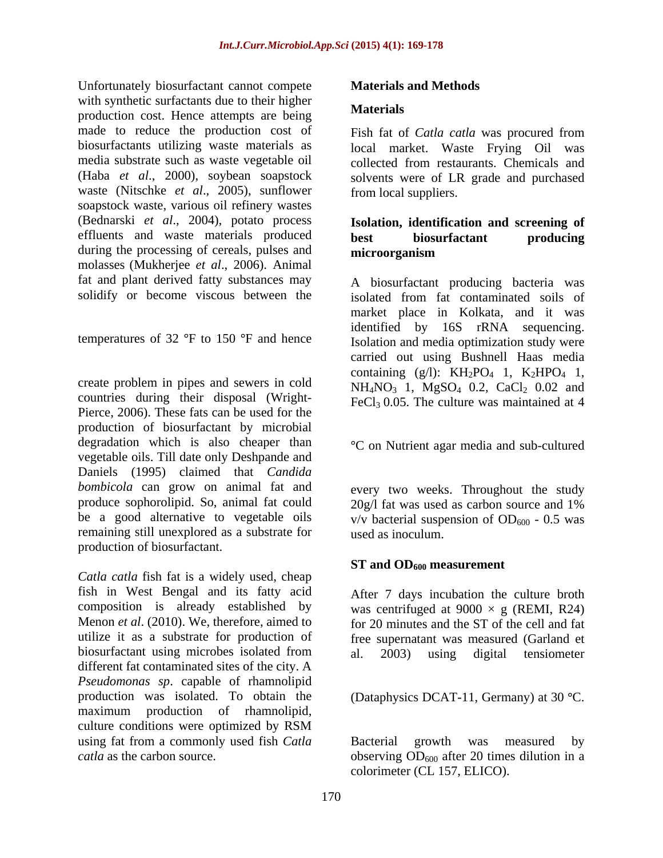Unfortunately biosurfactant cannot compete **Materials and Methods** with synthetic surfactants due to their higher<br>Materials production cost. Hence attempts are being made to reduce the production cost of biosurfactants utilizing waste materials as local market. Waste Frying Oil was media substrate such as waste vegetable oil collected from restaurants. Chemicals and (Haba *et al*., 2000), soybean soapstock solvents were of LR grade and purchased waste (Nitschke *et al*., 2005), sunflower soapstock waste, various oil refinery wastes (Bednarski *et al*., 2004), potato process effluents and waste materials produced best biosurfactant producing during the processing of cereals, pulses and **microorganism** molasses (Mukherjee *et al.*, 2006). Animal fat and plant derived fatty substances may

temperatures of 32  $\degree$ F to 150  $\degree$ F and hence

create problem in pipes and sewers in cold countries during their disposal (Wright- Pierce, 2006). These fats can be used for the production of biosurfactant by microbial degradation which is also cheaper than vegetable oils. Till date only Deshpande and Daniels (1995) claimed that *Candida bombicola* can grow on animal fat and produce sophorolipid. So, animal fat could<br>be a good alternative to vegetable oils<br> $y/y$  bacterial suspension of OD<sub>600</sub> - 0.5 was be a good alternative to vegetable oils  $v/v$  bacterial suspension of OD<sub>600</sub> - 0.5 was remaining still unexplored as a substrate for production of biosurfactant.

*Catla catla* fish fat is a widely used, cheap fish in West Bengal and its fatty acid composition is already established by was centrifuged at  $9000 \times g$  (REMI, R24) Menon *et al.* (2010). We, therefore, aimed to for 20 minutes and the ST of the cell and fat utilize it as a substrate for production of free supernatant was measured (Garland et biosurfactant using microbes isolated from al. 2003) using digital tensiometer different fat contaminated sites of the city. A *Pseudomonas sp*. capable of rhamnolipid production was isolated. To obtain the (Dataphysics DCAT-11, Germany) at 30 °C. maximum production of rhamnolipid, culture conditions were optimized by RSM using fat from a commonly used fish *Catla* Bacterial growth was measured by

#### **Materials and Methods**

#### **Materials**

Fish fat of *Catla catla* was procured from collected from restaurants. Chemicals and from local suppliers.

#### **Isolation, identification and screening of best biosurfactant producing microorganism**

solidify or become viscous between the isolated from fat contaminated soils of A biosurfactant producing bacteria was market place in Kolkata, and it was identified by 16S rRNA sequencing. Isolation and media optimization study were carried out using Bushnell Haas media containing  $(g/l)$ : KH<sub>2</sub>PO<sub>4</sub> 1, K<sub>2</sub>HPO<sub>4</sub> 1,  $NH_4NO_3$  1,  $MgSO_4$  0.2,  $CaCl_2$  0.02 and FeCl<sub>3</sub> 0.05. The culture was maintained at  $4$ 

C on Nutrient agar media and sub-cultured

every two weeks. Throughout the study 20g/l fat was used as carbon source and 1% used as inoculum.

#### **ST** and OD<sub>600</sub> measurement

After 7 days incubation the culture broth al. 2003) using digital tensiometer

*catla* as the carbon source.  $\qquad \qquad \text{observing OD}_{600}$  after 20 times dilution in a Bacterial growth was measured by colorimeter (CL 157, ELICO).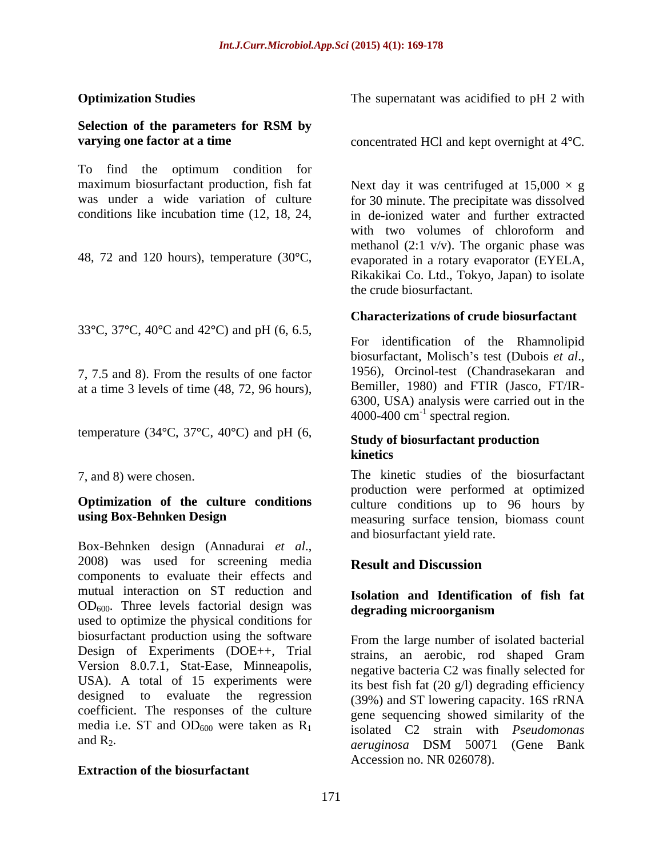## **Selection of the parameters for RSM by**

To find the optimum condition for maximum biosurfactant production, fish fat

33 °C, 37 °C, 40 °C and 42 °C) and pH (6, 6.5,

at a time 3 levels of time (48, 72, 96 hours),

temperature (34 $\textdegree$ C, 37 $\textdegree$ C, 40 $\textdegree$ C) and pH (6,

# **Optimization of the culture conditions**

Box-Behnken design (Annadurai *et al*., 2008) was used for screening media components to evaluate their effects and mutual interaction on ST reduction and  $OD<sub>600</sub>$ . Three levels factorial design was used to optimize the physical conditions for biosurfactant production using the software Design of Experiments (DOE++, Trial Version 8.0.7.1, Stat-Ease, Minneapolis, USA). A total of 15 experiments were designed to evaluate the regression coefficient. The responses of the culture media i.e. ST and  $OD_{600}$  were taken as  $R_1$ 

#### **Extraction of the biosurfactant**

**Optimization Studies** The supernatant was acidified to pH 2 with

**varying one factor at a time** concentrated HCl and kept overnight at 4<sup>o</sup>C.

was under a wide variation of culture for 30 minute. The precipitate was dissolved conditions like incubation time (12, 18, 24, in de-ionized water and further extracted 48, 72 and 120 hours), temperature (30°C, evaporated in a rotary evaporator (EYELA, Next day it was centrifuged at  $15,000 \times g$ with two volumes of chloroform and methanol  $(2:1 \text{ v/v})$ . The organic phase was Rikakikai Co. Ltd., Tokyo, Japan) to isolate the crude biosurfactant.

#### **Characterizations of crude biosurfactant**

7, 7.5 and 8). From the results of one factor For identification of the Rhamnolipid biosurfactant, Molisch's test (Dubois *et al.*, 1956), Orcinol-test (Chandrasekaran and Bemiller, 1980) and FTIR (Jasco, FT/IR- 6300, USA) analysis were carried out in the  $4000-400$  cm<sup>-1</sup> spectral region.

#### **Study of biosurfactant production kinetics**

7, and 8) were chosen. The kinetic studies of the biosurfactant **using Box-Behnken Design** measuring surface tension, biomass count production were performed at optimized culture conditions up to 96 hours by and biosurfactant yield rate.

### **Result and Discussion**

#### **Isolation and Identification of fish fat degrading microorganism**

and  $R_2$ .  $a$ <sup>a</sup> *aeruginosa*  $DSM$   $50071$  (Gene Bank From the large number of isolated bacterial strains, an aerobic, rod shaped Gram negative bacteria C2 was finally selected for its best fish fat (20 g/l) degrading efficiency (39%) and ST lowering capacity. 16S rRNA gene sequencing showed similarity of the isolated C2 strain with *Pseudomonas aeruginosa* DSM 50071 (Gene Bank Accession no. NR 026078).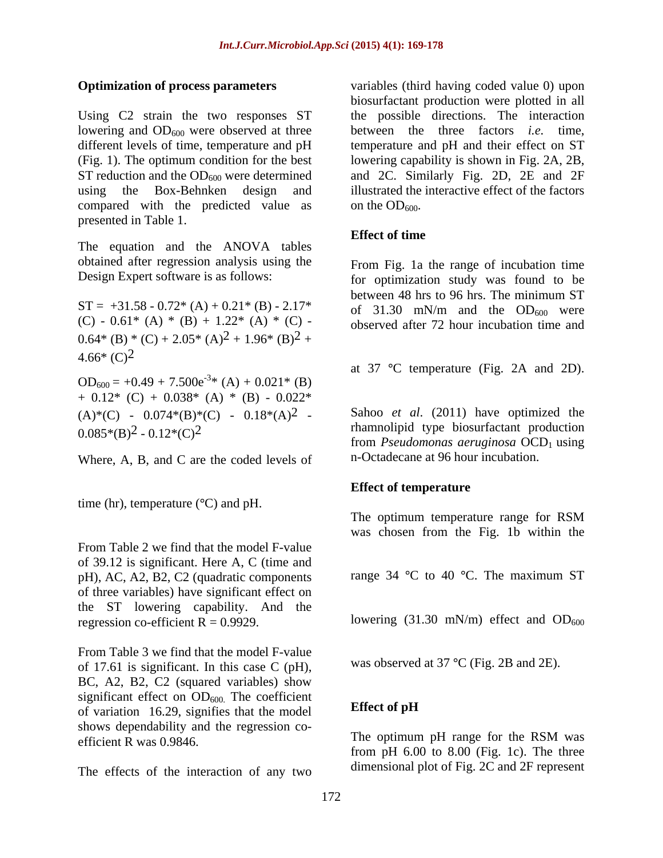Using C2 strain the two responses ST using the Box-Behnken design and compared with the predicted value as on the  $OD_{600}$ . presented in Table 1.

The equation and the ANOVA tables obtained after regression analysis using the

 $ST = +31.58 - 0.72*(A) + 0.21*(B) - 2.17*$ (C) - 0.61\* (A) \* (B) + 1.22\* (A) \* (C) - $0.64*(B)*(C) + 2.05*(A)<sup>2</sup> + 1.96*(B)<sup>2</sup> +$  $4.66*(C)^2$ 

 $OD_{600} = +0.49 + 7.500e^{-3}$ \* (A) + 0.021<sup>\*</sup> (B)  $-3*(4) + 0.021*(D)$  $*(A) + 0.021*(B)$  $+$  0.12\* (C) + 0.038\* (A) \* (B) - 0.022\*  $(A)*(C) - 0.074*(B)*(C) - 0.18*(A)^{2}$ 

Where, A, B, and C are the coded levels of

time (hr), temperature  $({}^{\circ}C)$  and pH.

From Table 2 we find that the model F-value of 39.12 is significant. Here A, C (time and pH), AC, A2, B2, C2 (quadratic components of three variables) have significant effect on the ST lowering capability. And the regression co-efficient  $R = 0.9929$ . lowering (31.30 mN/m) effect and OD<sub>600</sub>

From Table 3 we find that the model F-value of 17.61 is significant. In this case C (pH), BC, A2, B2, C2 (squared variables) show significant effect on  $OD_{600}$ . The coefficient<br>of variation 16.29 signifies that the model Effect of pH of variation 16.29, signifies that the model shows dependability and the regression co efficient R was 0.9846.<br>The optimum pH range for the RSM was

The effects of the interaction of any two

**Optimization of process parameters** variables (third having coded value 0) upon lowering and OD<sub>600</sub> were observed at three between the three factors *i.e.* time, different levels of time, temperature and pH temperature and pH and their effect on ST (Fig. 1). The optimum condition for the best lowering capability is shown in Fig. 2A, 2B, ST reduction and the  $OD_{600}$  were determined and 2C. Similarly Fig. 2D, 2E and 2F biosurfactant production were plotted in all the possible directions. The interaction illustrated the interactive effect of the factors on the  $OD_{600}$ .

#### **Effect of time**

Design Expert software is as follows: for optimization study was found to be From Fig. 1a the range of incubation time between 48 hrs to 96 hrs. The minimum ST of 31.30 mN/m and the  $OD_{600}$  were observed after 72 hour incubation time and

at  $37 \text{ °C}$  temperature (Fig. 2A and 2D).

 $(0.085*(B)^2 - 0.12*(C)^2)$  rhamnolipid type biosurfactant production Sahoo *et al*. (2011) have optimized the from *Pseudomonas aeruginosa* OCD<sub>1</sub> using n-Octadecane at 96 hour incubation.

#### **Effect of temperature**

The optimum temperature range for RSM was chosen from the Fig. 1b within the

range 34  $\degree$ C to 40  $\degree$ C. The maximum ST

was observed at  $37 \text{ °C}$  (Fig. 2B and 2E).

### **Effect of pH**

The optimum pH range for the RSM was from pH  $6.00$  to  $8.00$  (Fig. 1c). The three dimensional plot of Fig. 2C and 2F represent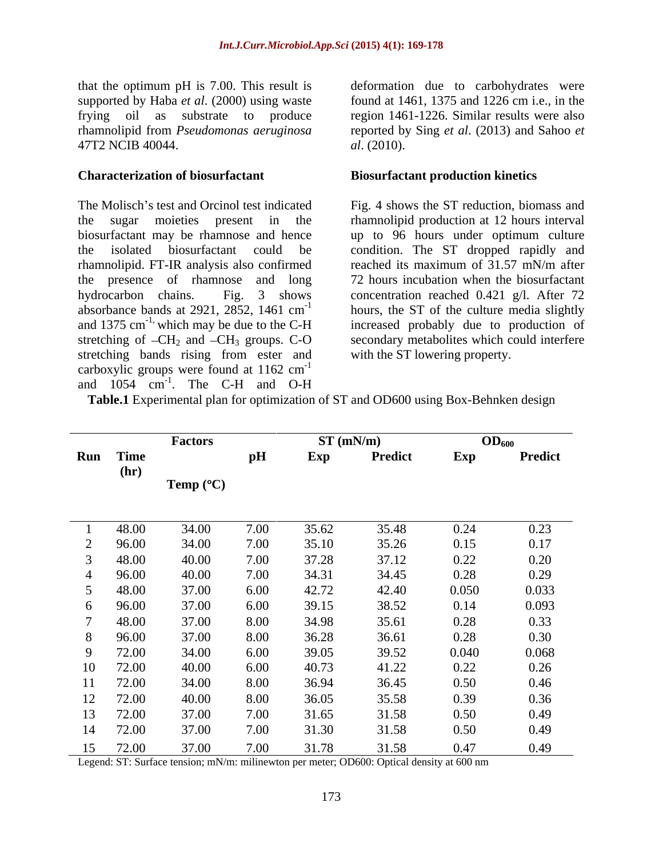that the optimum pH is 7.00. This result is 47T2 NCIB 40044. *al.* (2010).

The Molisch's test and Orcinol test indicated Fig. 4 shows the ST reduction, biomass and the sugar moieties present in the rhamnolipid production at 12 hours interval biosurfactant may be rhamnose and hence up to 96 hours under optimum culture the isolated biosurfactant could be condition. The ST dropped rapidly and rhamnolipid. FT-IR analysis also confirmed reached its maximum of 31.57 mN/m after the presence of rhamnose and long hydrocarbon chains. Fig. 3 shows concentration reached 0.421 g/l. After 72 absorbance bands at 2921, 2852, 1461 cm<sup>-1</sup> hours, the ST of the culture media slightly and 1375 cm<sup>-1,</sup> which may be due to the C-H increased probably due to production of stretching of  $-CH_2$  and  $-CH_3$  groups. C-O secondary metabolites which could interfere stretching bands rising from ester and carboxylic groups were found at  $1162 \text{ cm}^{-1}$ -1 **Figure 2 Contract 2 Contract 2 Contract 2 Contract 2 Contract 2 Contract 2 Contract 2 Contract 2 Contract 2 Contract 2 Contract 2 Contract 2 Contract 2 Contract 2 Contract 2 Contract 2** and  $1054$  cm<sup>-1</sup>. The C-H and O-H . The C-H and O-H

supported by Haba *et al*. (2000) using waste found at 1461, 1375 and 1226 cm i.e., in the frying oil as substrate to produce region 1461-1226. Similar results were also rhamnolipid from *Pseudomonas aeruginosa* reported by Sing *et al*. (2013) and Sahoo *et*  deformation due to carbohydrates were *al*. (2010).

#### **Characterization of biosurfactant Biosurfactant production kinetics**

reached its maximum of 31.57 mN/m after 72 hours incubation when the biosurfactant with the ST lowering property.

|             | <b>Factors</b>            |      | ST(mN/m) |                | OD <sub>600</sub> |                |
|-------------|---------------------------|------|----------|----------------|-------------------|----------------|
| Run Time    |                           | pН   | Exp      | <b>Predict</b> | Exp               | <b>Predict</b> |
| (hr)        |                           |      |          |                |                   |                |
|             | <b>Temp</b> $(^{\circ}C)$ |      |          |                |                   |                |
|             |                           |      |          |                |                   |                |
| 48.00       | 34.00                     | 7.00 | 35.62    | 35.48          | 0.24              | 0.23           |
| 96.00       | 34.00                     | 7.00 | 35.10    | 35.26          | 0.15              | 0.17           |
| 48.00       | 40.00                     | 7.00 | 37.28    | 37.12          | 0.22              | 0.20           |
| 96.00       | 40.00                     | 7.00 | 34.31    | 34.45          | 0.28              | 0.29           |
| 48.00       | 37.00                     | 6.00 | 42.72    | 42.40          | 0.050             | 0.033          |
| 96.00       | 37.00                     | 6.00 | 39.15    | 38.52          | 0.14              | 0.093          |
| 48.00       | 37.00                     | 8.00 | 34.98    | 35.61          | 0.28              | 0.33           |
| 96.00       | 37.00                     | 8.00 | 36.28    | 36.61          | 0.28              | 0.30           |
| 72.00       | 34.00                     | 6.00 | 39.05    | 39.52          | 0.040             | 0.068          |
| 72.00<br>10 | 40.00                     | 6.00 | 40.73    | 41.22          | 0.22              | 0.26           |
| 72.00       | 34.00                     | 8.00 | 36.94    | 36.45          | 0.50              | 0.46           |
| 72.00<br>12 | 40.00                     | 8.00 | 36.05    | 35.58          | 0.39              | 0.36           |
| 72.00<br>13 | 37.00                     | 7.00 | 31.65    | 31.58          | 0.50              | 0.49           |
| 72.00<br>14 | 37.00                     | 7.00 | 31.30    | 31.58          | 0.50              | 0.49           |
| 72.00<br>15 | 37.00                     | 7.00 | 31.78    | 31.58          | 0.47              | 0.49           |

**Table.1** Experimental plan for optimization of ST and OD600 using Box-Behnken design

Legend: ST: Surface tension; mN/m: milinewton per meter; OD600: Optical density at 600 nm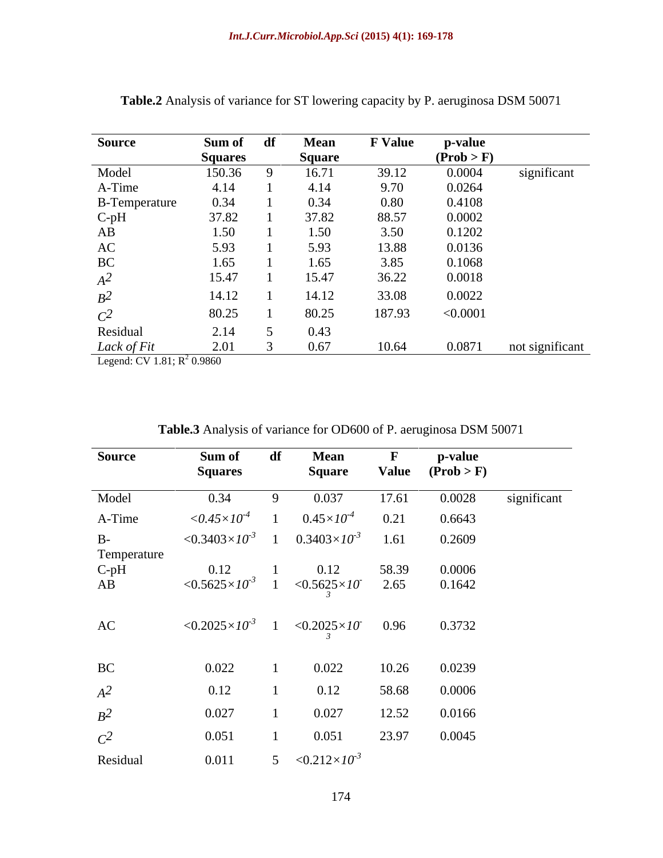| <b>Source</b>                 | Sum of         | df | <b>Mean</b>   | <b>F</b> Value | p-value    |                 |
|-------------------------------|----------------|----|---------------|----------------|------------|-----------------|
|                               | <b>Squares</b> |    | <b>Square</b> |                | (Prob > F) |                 |
| Model                         | 150.36         |    | 16.71         | 39.12          | 0.0004     | significant     |
| A-Time                        | 4.14           |    | 4.14          | 9.70           | 0.0264     |                 |
| <b>B-Temperature</b>          | 0.34           |    | 0.34          | 0.80           | 0.4108     |                 |
|                               | 37.82          |    | 37.82         | 88.57          | 0.0002     |                 |
| $C$ -pH<br>AB                 | 1.50           |    | 1.50          | 3.50           | 0.1202     |                 |
| $\mathbf{A}\mathbf{C}$        | 5.93           |    | 5.93          | 13.88          | 0.0136     |                 |
| $\operatorname{BC}$           | 1.65           |    | 1.65          | 3.85           | 0.1068     |                 |
| $\mathbb{A}^2$                | 15.47          |    | 15.47         | 36.22          | 0.0018     |                 |
| $B^2$                         | 14.12          |    | 14.12         | 33.08          | 0.0022     |                 |
| $C^2$                         | 80.25          |    | 80.25         | 187.93         | < 0.0001   |                 |
| Residual                      | 2.14           |    | 0.43          |                |            |                 |
| Lack of Fit                   | 2.01           |    | 0.67          | 10.64          | 0.0871     | not significant |
| Legend: CV 1.81; $R^2$ 0.9860 |                |    |               |                |            |                 |

**Table.2** Analysis of variance for ST lowering capacity by P. aeruginosa DSM 50071

| <b>Source</b>       | Sum of<br><b>Squares</b>      | df | <b>Mean</b><br>Square       |       | p-value<br>Value $(Prob > F)$ |             |
|---------------------|-------------------------------|----|-----------------------------|-------|-------------------------------|-------------|
| Model               | 0.34                          | 9  | 0.037                       | 17.61 | 0.0028                        | significant |
| A-Time              | $<\!\!0.45\!\!\times\!\!10^4$ |    | $0.45\times10^{-4}$         | 0.21  | 0.6643                        |             |
| $B-$<br>Temperature | $< 0.3403 \times 10^{-3}$     |    | $0.3403\times10^{-3}$       | 1.61  | 0.2609                        |             |
| $C$ -pH             | 0.12                          |    | 0.12                        | 58.39 | 0.0006                        |             |
| AB                  | $< 0.5625 \times 10^{-3}$     |    | $<\!\!0.5625\times10$       | 2.65  | 0.1642                        |             |
| AC                  | $< 0.2025 \times 10^{-3}$     |    | $<0.2025\times10^{-5}$ 0.96 |       | 0.3732                        |             |
| BC                  | 0.022                         |    | 0.022                       | 10.26 | 0.0239                        |             |
| $A^2$               | 0.12                          |    | 0.12                        | 58.68 | 0.0006                        |             |
| $B^2$               | 0.027                         |    | 0.027                       | 12.52 | 0.0166                        |             |
| $C^2$               | 0.051                         |    | 0.051                       | 23.97 | 0.0045                        |             |
| Residual            | 0.011                         |    | 5 $< 0.212 \times 10^{-3}$  |       |                               |             |

| <b>Table.3</b> Analysis of variance for OD600 of P. aeruginosa DSM 50071 |  |  |  |
|--------------------------------------------------------------------------|--|--|--|
|                                                                          |  |  |  |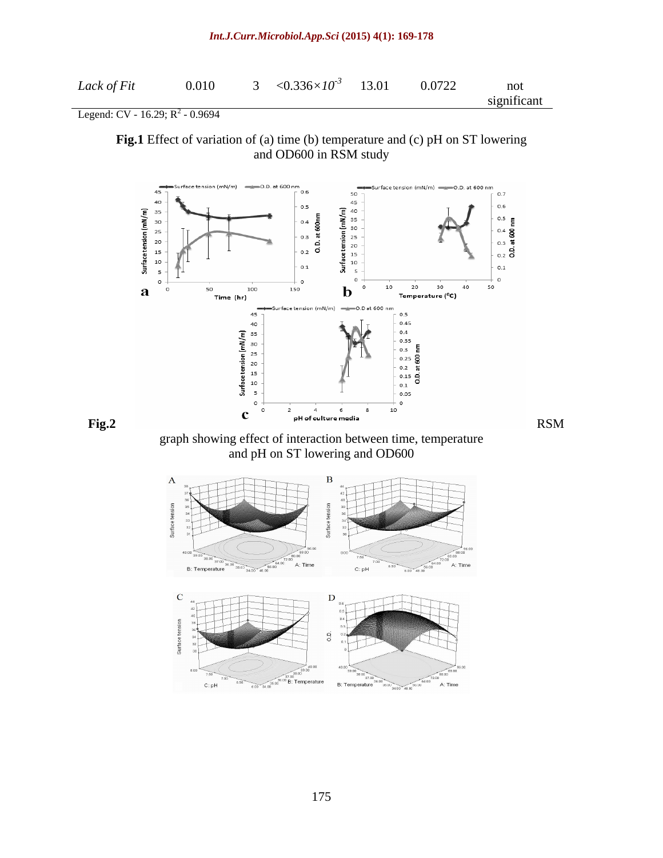#### *Int.J.Curr.Microbiol.App.Sci* **(2015) 4(1): 169-178**

Legend: CV - 16.29;  $R^2$  - 0.9694 - 0.9694

**Fig.1** Effect of variation of (a) time (b) temperature and (c) pH on ST lowering and OD600 in RSM study



38.00

B: Temperature

**B**: Temperature

A: Time

 $34.00 - 48.00$ 

 $_{8.0}$ 

 $\overline{750}$ 

 $C: pH$ 

 $6.50$ 

 $6.00$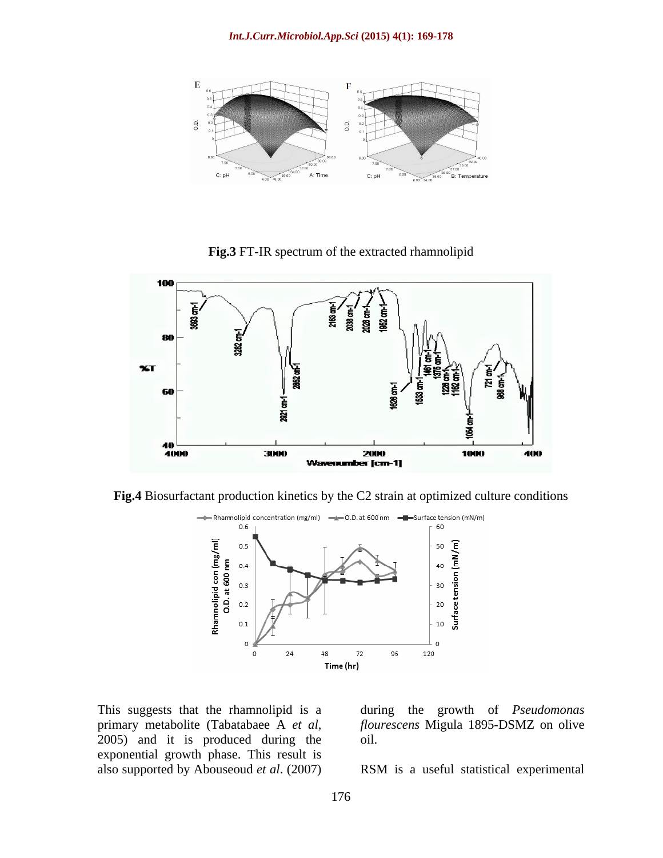

**Fig.3** FT-IR spectrum of the extracted rhamnolipid







This suggests that the rhamnolipid is a during the growth of *Pseudomonas*  primary metabolite (Tabatabaee A *et al*, flourescens Migula 1895-DSMZ on olive 2005) and it is produced during the oil. exponential growth phase. This result is

*flourescens* Migula 1895-DSMZ on olive oil.

also supported by Abouseoud *et al*. (2007) RSM is a useful statistical experimental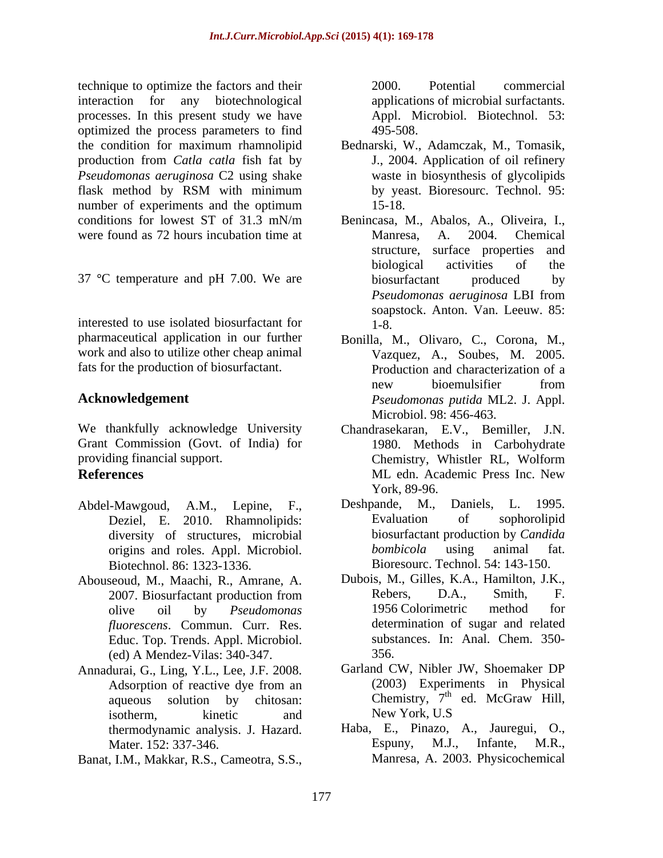technique to optimize the factors and their  $2000$ . Potential commercial interaction for any biotechnological applications of microbial surfactants. processes. In this present study we have optimized the process parameters to find the condition for maximum rhamnolipid Bednarski, W., Adamczak, M., Tomasik, production from *Catla catla* fish fat by *Pseudomonas aeruginosa* C2 using shake flask method by RSM with minimum by yeast. Bioresourc. Technol. 95: number of experiments and the optimum 15-18. conditions for lowest ST of 31.3 mN/m Benincasa, M., Abalos, A., Oliveira, I., were found as 72 hours incubation time at Manresa, A. 2004. Chemical

37 °C temperature and pH 7.00. We are biosurfactant produced by

interested to use isolated biosurfactant for  $1-8$ . work and also to utilize other cheap animal fats for the production of biosurfactant.

Grant Commission (Govt. of India) for providing financial support. Chemistry, Whistler RL, Wolform

- Abdel-Mawgoud, A.M., Lepine, F., Deshpande, M., Daniels, L. 1995.<br>Deziel E. 2010. Rhamnolinids: Evaluation of sophorolipid Deziel, E. 2010. Rhamnolipids: diversity of structures, microbial biosurfactant production by Containers and roles. Annl Microbiol bombicola using animal
- Abouseoud, M., Maachi, R., Amrane, A. Dubois, M., Gilles, K.A., Hamilton, J.K., 2007 Biosurfactant production from Rebers. D.A., Smith. F. *fluorescens*. Commun. Curr. Res. Educ. Top. Trends. Appl. Microbiol. (ed) A Mendez-Vilas: 340-347.
- Annadurai, G., Ling, Y.L., Lee, J.F. 2008. isotherm, kinetic and New York, U.S thermodynamic analysis. J. Hazard.
- Banat, I.M., Makkar, R.S., Cameotra, S.S.,

2000. Potential commercial Appl. Microbiol. Biotechnol. 53: 495-508.

- J., 2004. Application of oil refinery waste in biosynthesis of glycolipids by yeast. Bioresourc. Technol. 95: 15-18.
- Benincasa, M., Abalos, A., Oliveira, I., Manresa, A. 2004. Chemical structure, surface properties and biological activities of the biosurfactant produced by *Pseudomonas aeruginosa* LBI from soapstock. Anton. Van. Leeuw. 85: 1-8.
- pharmaceutical application in our further Bonilla, M., Olivaro, C., Corona, M., **Acknowledgement** *Pseudomonas putida* ML2. J. Appl. Vazquez, A., Soubes, M. 2005. Production and characterization of a new bioemulsifier from Microbiol. 98: 456-463.
- We thankfully acknowledge University Chandrasekaran, E.V., Bemiller, J.N. **References** ML edn. Academic Press Inc. New 1980. Methods in Carbohydrate Chemistry, Whistler RL, Wolform ML edn. Academic Press Inc. New York, 89-96.
	- origins and roles. Appl. Microbiol. *bombicola* using animal fat. Biotechnol. 86: 1323-1336. Bioresourc. Technol. 54: 143-150. Deshpande, M., Daniels, L. 1995. Evaluation of sophorolipid biosurfactant production by *Candida bombicola* using animal fat.
	- 2007. Biosurfactant production from Rebers, D.A., Smith, F. olive oil by *Pseudomonas*  Dubois, M., Gilles, K.A., Hamilton, J.K., Rebers, D.A., Smith, F. 1956 Colorimetric method for determination of sugar and related substances. In: Anal. Chem. 350- 356.
	- Adsorption of reactive dye from an (2003) Experiments in Physical aqueous solution by chitosan: Chemistry,  $7<sup>th</sup>$  ed. McGraw Hill, Garland CW, Nibler JW, Shoemaker DP (2003) Experiments in Physical ed. McGraw Hill, New York, U.S
	- Mater. 152: 337-346. Espuny, M.J., Infante, M.R., Haba, E., Pinazo, A., Jauregui, O., Espuny, M.J., Infante, M.R., Manresa, A. 2003. Physicochemical